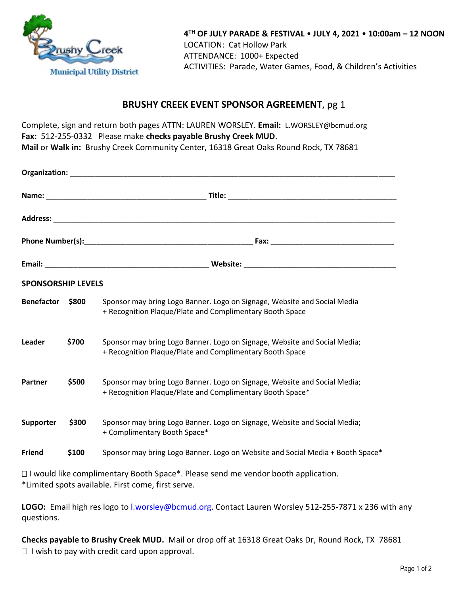

## **BRUSHY CREEK EVENT SPONSOR AGREEMENT**, pg 1

Complete, sign and return both pages ATTN: LAUREN WORSLEY. **Email:** L.WORSLEY@bcmud.org **Fax:** 512-255-0332 Please make **checks payable Brushy Creek MUD**. **Mail** or **Walk in:** Brushy Creek Community Center, 16318 Great Oaks Round Rock, TX 78681

| <b>SPONSORSHIP LEVELS</b> |       |                                                                                                                                        |  |  |
|---------------------------|-------|----------------------------------------------------------------------------------------------------------------------------------------|--|--|
| <b>Benefactor</b>         | \$800 | Sponsor may bring Logo Banner. Logo on Signage, Website and Social Media<br>+ Recognition Plaque/Plate and Complimentary Booth Space   |  |  |
| Leader                    | \$700 | Sponsor may bring Logo Banner. Logo on Signage, Website and Social Media;<br>+ Recognition Plaque/Plate and Complimentary Booth Space  |  |  |
| Partner                   | \$500 | Sponsor may bring Logo Banner. Logo on Signage, Website and Social Media;<br>+ Recognition Plaque/Plate and Complimentary Booth Space* |  |  |
| Supporter                 | \$300 | Sponsor may bring Logo Banner. Logo on Signage, Website and Social Media;<br>+ Complimentary Booth Space*                              |  |  |
| <b>Friend</b>             | \$100 | Sponsor may bring Logo Banner. Logo on Website and Social Media + Booth Space*                                                         |  |  |

 $\Box$  I would like complimentary Booth Space\*. Please send me vendor booth application. \*Limited spots available. First come, first serve.

LOGO: Email high res logo to *Lworsley@bcmud.org.* Contact Lauren Worsley 512-255-7871 x 236 with any questions.

**Checks payable to Brushy Creek MUD.** Mail or drop off at 16318 Great Oaks Dr, Round Rock, TX 78681  $\Box$  I wish to pay with credit card upon approval.